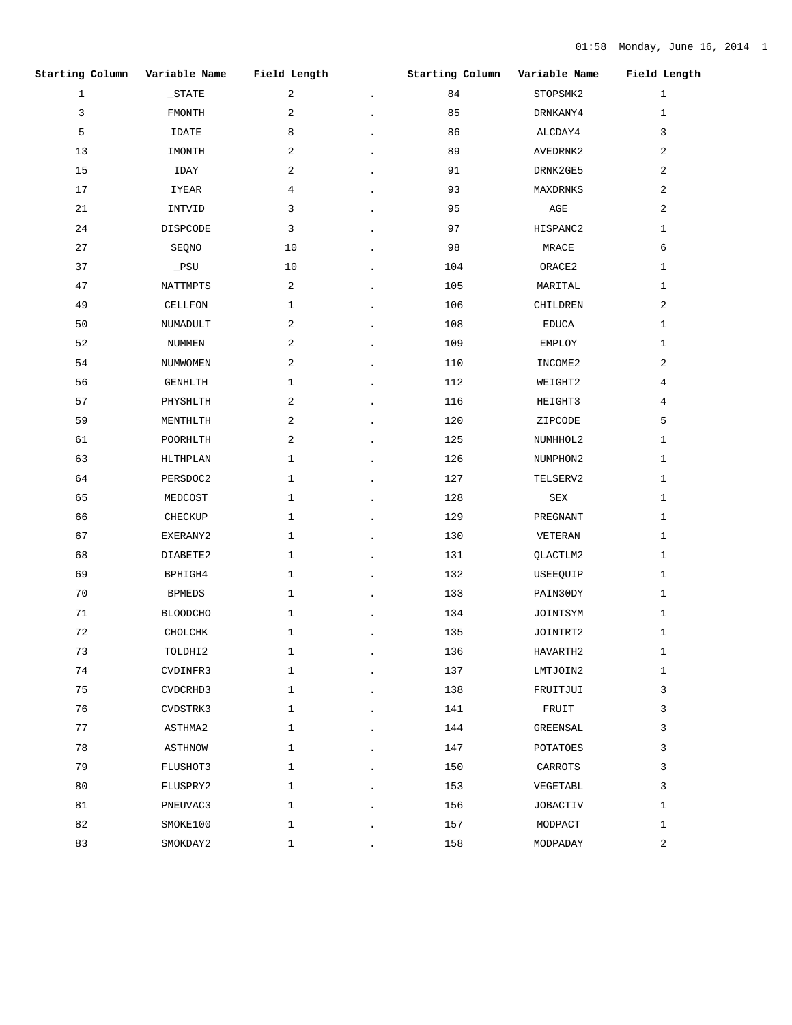| Starting Column | Variable Name   | Field Length | Starting Column | Variable Name   | Field Length |
|-----------------|-----------------|--------------|-----------------|-----------------|--------------|
| $\mathbf{1}$    | $\_STATE$       | 2            | 84              | STOPSMK2        | $\mathbf{1}$ |
| 3               | FMONTH          | 2            | 85              | DRNKANY4        | $\mathbf{1}$ |
| 5               | IDATE           | 8            | 86              | ALCDAY4         | 3            |
| 13              | IMONTH          | 2            | 89              | AVEDRNK2        | 2            |
| 15              | IDAY            | 2            | 91              | DRNK2GE5        | 2            |
| 17              | IYEAR           | 4            | 93              | MAXDRNKS        | 2            |
| 21              | INTVID          | 3            | 95              | AGE             | 2            |
| 24              | DISPCODE        | 3            | 97              | HISPANC2        | 1            |
| 27              | SEQNO           | 10           | 98              | MRACE           | 6            |
| 37              | $\_PSU$         | 10           | 104             | ORACE2          | 1            |
| 47              | NATTMPTS        | 2            | 105             | MARITAL         | $\mathbf{1}$ |
| 49              | CELLFON         | 1            | 106             | CHILDREN        | 2            |
| 50              | NUMADULT        | 2            | 108             | EDUCA           | 1            |
| 52              | NUMMEN          | 2            | 109             | EMPLOY          | 1            |
| 54              | NUMWOMEN        | 2            | 110             | INCOME2         | 2            |
| 56              | GENHLTH         | $\mathbf 1$  | 112             | WEIGHT2         | 4            |
| 57              | PHYSHLTH        | 2            | 116             | HEIGHT3         | 4            |
| 59              | MENTHLTH        | 2            | 120             | ZIPCODE         | 5            |
| 61              | POORHLTH        | 2            | 125             | NUMHHOL2        | 1            |
| 63              | HLTHPLAN        | $\mathbf 1$  | 126             | NUMPHON2        | 1            |
| 64              | PERSDOC2        | 1            | 127             | TELSERV2        | 1            |
| 65              | MEDCOST         | $\mathbf 1$  | 128             | SEX             | 1            |
| 66              | CHECKUP         | $\mathbf{1}$ | 129             | PREGNANT        | $\mathbf{1}$ |
| 67              | EXERANY2        | 1            | 130             | VETERAN         | $\mathbf{1}$ |
| 68              | DIABETE2        | $\mathbf 1$  | 131             | QLACTLM2        | 1            |
| 69              | BPHIGH4         | $\mathbf{1}$ | 132             | USEEQUIP        | $\mathbf{1}$ |
| 70              | <b>BPMEDS</b>   | $\mathbf{1}$ | 133             | PAIN30DY        | 1            |
| 71              | <b>BLOODCHO</b> | 1            | 134             | JOINTSYM        | 1            |
| 72              | $CHOLCHK$       | $1\,$        | 135             | JOINTRT2        | $\mathbf{1}$ |
| 73              | TOLDHI2         | $\mathbf{1}$ | 136             | HAVARTH2        | $\mathbf{1}$ |
| 74              | CVDINFR3        | $\mathbf{1}$ | 137             | LMTJOIN2        | $\mathbf{1}$ |
| 75              | CVDCRHD3        | $\mathbf{1}$ | 138             | FRUITJUI        | 3            |
| 76              | CVDSTRK3        | $\mathbf{1}$ | 141             | FRUIT           | 3            |
| 77              | ASTHMA2         | $\mathbf{1}$ | 144             | GREENSAL        | 3            |
| 78              | ASTHNOW         | $\mathbf{1}$ | 147             | POTATOES        | 3            |
| 79              | FLUSHOT3        | $\mathbf{1}$ | 150             | CARROTS         | 3            |
| 80              | FLUSPRY2        | $\mathbf{1}$ | 153             | VEGETABL        | 3            |
| 81              | PNEUVAC3        | $\mathbf{1}$ | 156             | <b>JOBACTIV</b> | $\mathbf{1}$ |
| 82              | SMOKE100        | $\mathbf{1}$ | 157             | MODPACT         | $\mathbf{1}$ |
| 83              | SMOKDAY2        | $\mathbf{1}$ | 158             | MODPADAY        | 2            |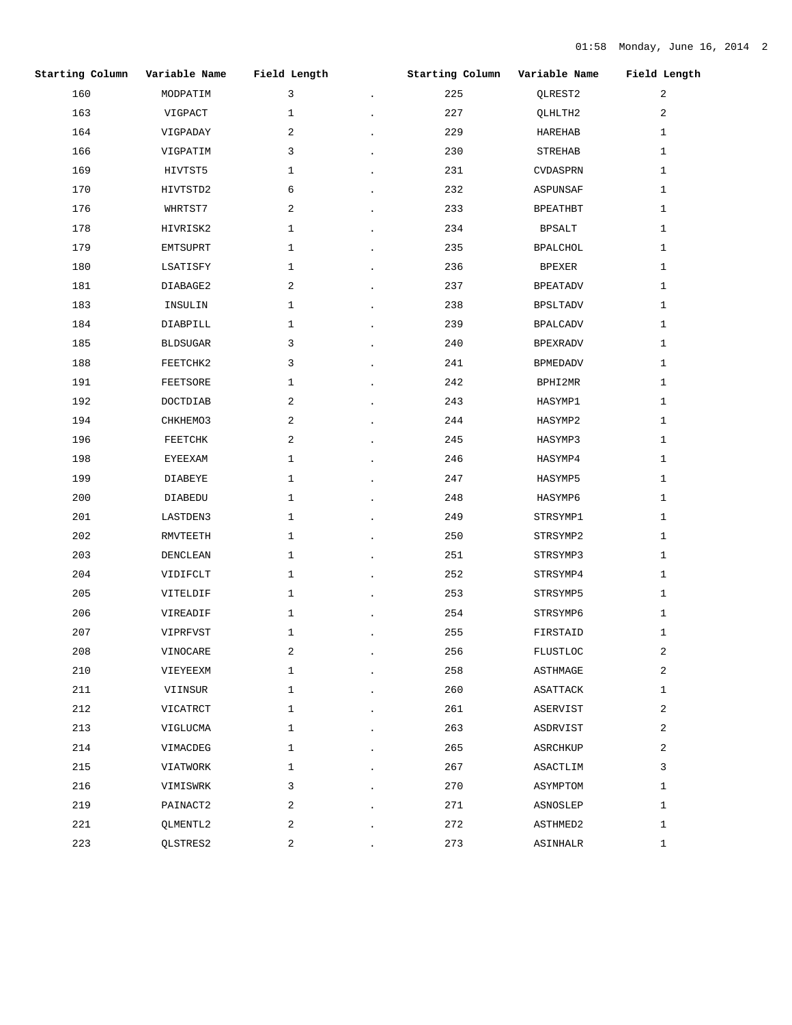|     | Starting Column Variable Name Field Length |              | Starting Column Variable Name Field Length |                 |                |
|-----|--------------------------------------------|--------------|--------------------------------------------|-----------------|----------------|
| 160 | MODPATIM                                   | $\mathbf{3}$ | 225                                        | QLREST2         | 2              |
| 163 | VIGPACT                                    | $\mathbf{1}$ | 227                                        | QLHLTH2         | $\overline{2}$ |
| 164 | VIGPADAY                                   | 2            | 229                                        | HAREHAB         | $\mathbf{1}$   |
| 166 | VIGPATIM                                   | 3            | 230                                        | STREHAB         | 1              |
| 169 | HIVTST5                                    | 1            | 231                                        | CVDASPRN        | 1              |
| 170 | HIVTSTD2                                   | 6            | 232                                        | ASPUNSAF        | 1              |
| 176 | WHRTST7                                    | 2            | 233                                        | BPEATHBT        | $\mathbf{1}$   |
| 178 | HIVRISK2                                   | 1            | 234                                        | BPSALT          | 1              |
| 179 | EMTSUPRT                                   | 1            | 235                                        | BPALCHOL        | $\mathbf{1}$   |
| 180 | LSATISFY                                   | $\mathbf{1}$ | 236                                        | BPEXER          | 1              |
| 181 | DIABAGE2                                   | 2            | 237                                        | BPEATADV        | $\mathbf{1}$   |
| 183 | INSULIN                                    | 1            | 238                                        | BPSLTADV        | $\mathbf{1}$   |
| 184 | DIABPILL                                   | 1            | 239                                        | BPALCADV        | 1              |
| 185 | BLDSUGAR                                   | 3            | 240                                        | BPEXRADV        | $\mathbf{1}$   |
| 188 | FEETCHK2                                   | 3            | 241                                        | BPMEDADV        | $\mathbf{1}$   |
| 191 | FEETSORE                                   | $\mathbf{1}$ | 242                                        | BPHI2MR         | $\mathbf{1}$   |
| 192 | DOCTDIAB                                   | 2            | 243                                        | HASYMP1         | 1              |
| 194 | CHKHEMO3                                   | 2            | 244                                        | HASYMP2         | $\mathbf{1}$   |
| 196 | FEETCHK                                    | 2            | 245                                        | HASYMP3         | $\mathbf{1}$   |
| 198 | EYEEXAM                                    | $\mathbf{1}$ | 246                                        | HASYMP4         | 1              |
| 199 | DIABEYE                                    | 1            | 247                                        | HASYMP5         | 1              |
| 200 | DIABEDU                                    | 1            | 248                                        | HASYMP6         | $\mathbf{1}$   |
| 201 | LASTDEN3                                   | $\mathbf{1}$ | 249                                        | STRSYMP1        | $\mathbf{1}$   |
| 202 | RMVTEETH                                   | $\mathbf{1}$ | 250                                        | STRSYMP2        | $\mathbf{1}$   |
| 203 | DENCLEAN                                   | $\mathbf{1}$ | 251                                        | STRSYMP3        | $\mathbf{1}$   |
| 204 | VIDIFCLT                                   | $\mathbf{1}$ | 252                                        | STRSYMP4        | $\mathbf{1}$   |
| 205 | VITELDIF                                   | $\mathbf{1}$ | 253                                        | STRSYMP5        | $\mathbf{1}$   |
| 206 | VIREADIF                                   | 1            | 254                                        | STRSYMP6        | 1              |
| 207 | VIPRFVST                                   | $\mathbf{1}$ | 255                                        | FIRSTAID        | $\mathbf{1}$   |
| 208 | VINOCARE                                   | 2            | 256                                        | <b>FLUSTLOC</b> | 2              |
| 210 | VIEYEEXM                                   | $\mathbf{1}$ | 258                                        | ASTHMAGE        | $\overline{a}$ |
| 211 | VIINSUR                                    | $\mathbf{1}$ | 260                                        | ASATTACK        | $\mathbf{1}$   |
| 212 | VICATRCT                                   | $\mathbf{1}$ | 261                                        | ASERVIST        | 2              |
| 213 | VIGLUCMA                                   | $\mathbf{1}$ | 263                                        | ASDRVIST        | 2              |
| 214 | VIMACDEG                                   | $\mathbf{1}$ | 265                                        | ASRCHKUP        | 2              |
| 215 | VIATWORK                                   | $\mathbf{1}$ | 267                                        | ASACTLIM        | 3              |
| 216 | VIMISWRK                                   | 3            | 270                                        | ASYMPTOM        | $\mathbf{1}$   |
| 219 | PAINACT2                                   | 2            | 271                                        | ASNOSLEP        | $\mathbf{1}$   |
| 221 | QLMENTL2                                   | 2            | 272                                        | ASTHMED2        | 1              |
| 223 | QLSTRES2                                   | 2            | 273                                        | ASINHALR        | $\mathbf{1}$   |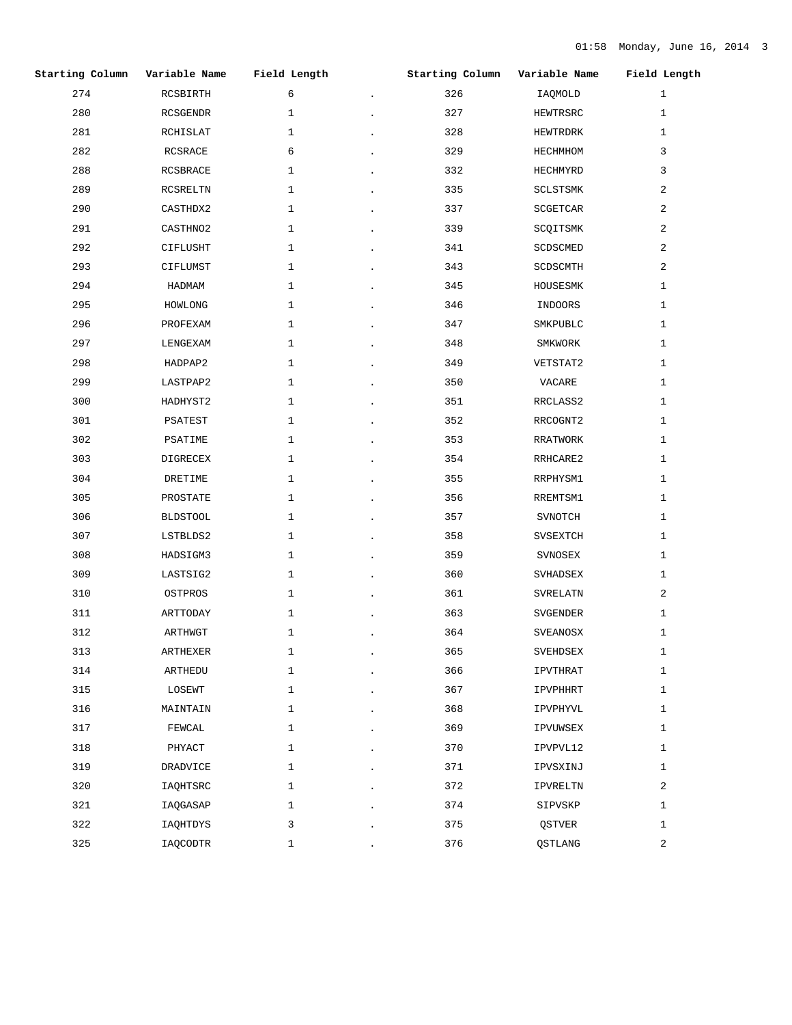| Starting Column | Variable Name   | Field Length | Starting Column | Variable Name | Field Length   |
|-----------------|-----------------|--------------|-----------------|---------------|----------------|
| 274             | RCSBIRTH        | 6            | 326             | IAQMOLD       | $\mathbf{1}$   |
| 280             | RCSGENDR        | $\mathbf{1}$ | 327             | HEWTRSRC      | $\mathbf{1}$   |
| 281             | RCHISLAT        | $\mathbf{1}$ | 328             | HEWTRDRK      | $\mathbf{1}$   |
| 282             | RCSRACE         | 6            | 329             | HECHMHOM      | 3              |
| 288             | RCSBRACE        | 1            | 332             | HECHMYRD      | 3              |
| 289             | RCSRELTN        | $\mathbf{1}$ | 335             | SCLSTSMK      | $\overline{a}$ |
| 290             | CASTHDX2        | $\mathbf{1}$ | 337             | SCGETCAR      | 2              |
| 291             | CASTHNO2        | $\mathbf{1}$ | 339             | SCQITSMK      | $\overline{a}$ |
| 292             | CIFLUSHT        | $\mathbf{1}$ | 341             | SCDSCMED      | $\overline{a}$ |
| 293             | CIFLUMST        | $\mathbf{1}$ | 343             | SCDSCMTH      | $\overline{a}$ |
| 294             | HADMAM          | $\mathbf{1}$ | 345             | HOUSESMK      | $\mathbf{1}$   |
| 295             | HOWLONG         | $\mathbf{1}$ | 346             | INDOORS       | $\mathbf{1}$   |
| 296             | PROFEXAM        | $\mathbf{1}$ | 347             | SMKPUBLC      | $\mathbf{1}$   |
| 297             | LENGEXAM        | $\mathbf{1}$ | 348             | SMKWORK       | $\mathbf{1}$   |
| 298             | HADPAP2         | $\mathbf{1}$ | 349             | VETSTAT2      | $\mathbf{1}$   |
| 299             | LASTPAP2        | $\mathbf{1}$ | 350             | VACARE        | $\mathbf{1}$   |
| 300             | HADHYST2        | $\mathbf{1}$ | 351             | RRCLASS2      | $\mathbf{1}$   |
| 301             | PSATEST         | $\mathbf{1}$ | 352             | RRCOGNT2      | $\mathbf{1}$   |
| 302             | PSATIME         | $\mathbf{1}$ | 353             | RRATWORK      | $\mathbf{1}$   |
| 303             | DIGRECEX        | $\mathbf{1}$ | 354             | RRHCARE2      | $\mathbf{1}$   |
| 304             | DRETIME         | $\mathbf{1}$ | 355             | RRPHYSM1      | $\mathbf{1}$   |
| 305             | PROSTATE        | $\mathbf{1}$ | 356             | RREMTSM1      | $\mathbf{1}$   |
| 306             | <b>BLDSTOOL</b> | $\mathbf{1}$ | 357             | SVNOTCH       | $\mathbf{1}$   |
| 307             | LSTBLDS2        | $\mathbf{1}$ | 358             | SVSEXTCH      | $\mathbf{1}$   |
| 308             | HADSIGM3        | $\mathbf{1}$ | 359             | SVNOSEX       | $\mathbf{1}$   |
| 309             | LASTSIG2        | $\mathbf{1}$ | 360             | SVHADSEX      | $\mathbf{1}$   |
| 310             | OSTPROS         | $\mathbf{1}$ | 361             | SVRELATN      | $\overline{a}$ |
| 311             | ARTTODAY        | $\mathbf{1}$ | 363             | SVGENDER      | 1              |
| 312             | ARTHWGT         | $\mathbf{1}$ | 364             | SVEANOSX      | $\mathbf{1}$   |
| 313             | ARTHEXER        | $\mathbf{1}$ | 365             | SVEHDSEX      | $\mathbf{1}$   |
| 314             | ARTHEDU         | $\mathbf{1}$ | 366             | IPVTHRAT      | $\mathbf{1}$   |
| 315             | LOSEWT          | $\mathbf{1}$ | 367             | IPVPHHRT      | $\mathbf{1}$   |
| 316             | MAINTAIN        | $\mathbf{1}$ | 368             | IPVPHYVL      | $\mathbf{1}$   |
| 317             | FEWCAL          | $\mathbf{1}$ | 369             | IPVUWSEX      | $\mathbf{1}$   |
| 318             | PHYACT          | $\mathbf{1}$ | 370             | IPVPVL12      | $\mathbf{1}$   |
| 319             | DRADVICE        | $\mathbf{1}$ | 371             | IPVSXINJ      | $\mathbf{1}$   |
| 320             | IAQHTSRC        | $\mathbf{1}$ | 372             | IPVRELTN      | $\overline{2}$ |
| 321             | IAQGASAP        | $\mathbf{1}$ | 374             | SIPVSKP       | $\mathbf{1}$   |
| 322             | IAQHTDYS        | 3            | 375             | QSTVER        | $\mathbf{1}$   |
| 325             | IAQCODTR        | $\mathbf{1}$ | 376             | QSTLANG       | $\overline{2}$ |